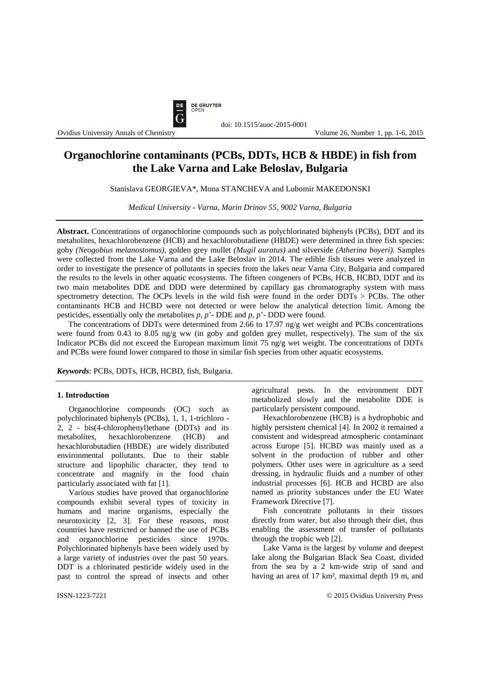

#### Ovidius University Annals of Chemistry Volume 26, Number 1, pp. 1-6, 2015

# **Organochlorine contaminants (PCBs, DDTs, HCB & HBDE) in fish from the Lake Varna and Lake Beloslav, Bulgaria**

doi: 10.1515/auoc-2015-0001

Stanislava GEORGIEVA\*, Mona STANCHEVA and Lubomir MAKEDONSKI

*Medical University - Varna, Marin Drinov 55, 9002 Varna, Bulgaria*

**Abstract.** Concentrations of organochlorine compounds such as polychlorinated biphenyls (PCBs), DDT and its metabolites, hexachlorobenzene (HCB) and hexachlorobutadiene (HBDE) were determined in three fish species: goby *(Neogobius melanostomus),* golden grey mullet *(Mugil auratus)* and silverside *(Atherina boyeri).* Samples were collected from the Lake Varna and the Lake Beloslav in 2014. The edible fish tissues were analyzed in order to investigate the presence of pollutants in species from the lakes near Varna City, Bulgaria and compared the results to the levels in other aquatic ecosystems. The fifteen congeners of PCBs, HCB, HCBD, DDT and its two main metabolites DDE and DDD were determined by capillary gas chromatography system with mass spectrometry detection. The OCPs levels in the wild fish were found in the order DDTs > PCBs. The other contaminants HCB and HCBD were not detected or were below the analytical detection limit. Among the pesticides, essentially only the metabolites *p*, *p*'- DDE and *p*, *p*'- DDD were found.

The concentrations of DDTs were determined from 2.66 to 17.97 ng/g wet weight and PCBs concentrations were found from 0.43 to 8.05 ng/g ww (in goby and golden grey mullet, respectively). The sum of the six Indicator PCBs did not exceed the European maximum limit 75 ng/g wet weight. The concentrations of DDTs and PCBs were found lower compared to those in similar fish species from other aquatic ecosystems.

*Keywords*: PCBs, DDTs, HCB, HCBD, fish, Bulgaria.

### **1. Introduction**

Organochlorine compounds (OC) such as polychlorinated biphenyls (PCBs), 1, 1, 1-trichloro - 2, 2 - bis(4-chlorophenyl)ethane (DDTs) and its metabolites, hexachlorobenzene (HCB) and hexachlorobutadien (HBDE) are widely distributed environmental pollutants. Due to their stable structure and lipophilic character, they tend to concentrate and magnify in the food chain particularly associated with fat [1].

Various studies have proved that organochlorine compounds exhibit several types of toxicity in humans and marine organisms, especially the neurotoxicity [2, 3]. For these reasons, most countries have restricted or banned the use of PCBs and organochlorine pesticides since 1970s. Polychlorinated biphenyls have been widely used by a large variety of industries over the past 50 years. DDT is a chlorinated pesticide widely used in the past to control the spread of insects and other

agricultural pests. In the environment DDT metabolized slowly and the metabolite DDE is particularly persistent compound.

Hexachlorobenzene (HCB) is a hydrophobic and highly persistent chemical [4]. In 2002 it remained a consistent and widespread atmospheric contaminant across Europe [5]. HCBD was mainly used as a solvent in the production of rubber and other polymers. Other uses were in agriculture as a seed dressing, in hydraulic fluids and a number of other industrial processes [6]. HCB and HCBD are also named as priority substances under the EU Water Framework Directive [7].

Fish concentrate pollutants in their tissues directly from water, but also through their diet, thus enabling the assessment of transfer of pollutants through the trophic web [2].

Lake Varna is the largest by volume and deepest lake along the Bulgarian Black Sea Coast, divided from the sea by a 2 km-wide strip of sand and having an area of 17 km², maximal depth 19 m, and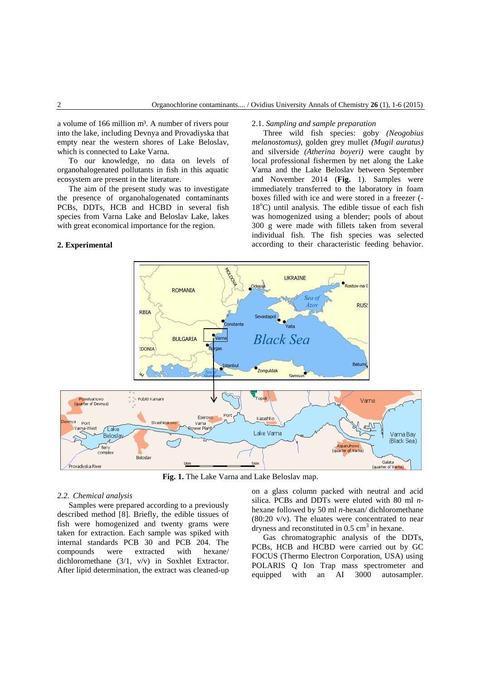a volume of 166 million m<sup>3</sup>. A number of rivers pour into the lake, including Devnya and Provadiyska that empty near the western shores of Lake Beloslav, which is connected to Lake Varna.

To our knowledge, no data on levels of organohalogenated pollutants in fish in this aquatic ecosystem are present in the literature.

The aim of the present study was to investigate the presence of organohalogenated contaminants PCBs, DDTs, HCB and HCBD in several fish species from Varna Lake and Beloslav Lake, lakes with great economical importance for the region.

# **2. Experimental**

#### 2.1. *Sampling and sample preparation*

Three wild fish species: goby *(Neogobius melanostomus),* golden grey mullet *(Mugil auratus)* and silverside *(Atherina boyeri)* were caught by local professional fishermen by net along the Lake Varna and the Lake Beloslav between September and November 2014 (**Fig.** 1). Samples were immediately transferred to the laboratory in foam boxes filled with ice and were stored in a freezer (-  $18^{\circ}$ C) until analysis. The edible tissue of each fish was homogenized using a blender; pools of about 300 g were made with fillets taken from several individual fish. The fish species was selected according to their characteristic feeding behavior.



**Fig. 1.** The Lake Varna and Lake Beloslav map.

### *2.2. Chemical analysis*

Samples were prepared according to a previously described method [8]. Briefly, the edible tissues of fish were homogenized and twenty grams were taken for extraction. Each sample was spiked with internal standards PCB 30 and PCB 204. The compounds were extracted with hexane/ dichloromethane (3/1, v/v) in Soxhlet Extractor. After lipid determination, the extract was cleaned-up

on a glass column packed with neutral and acid silica. PCBs and DDTs were eluted with 80 ml *n*hexane followed by 50 ml *n*-hexan/ dichloromethane  $(80:20 \text{ V/V})$ . The eluates were concentrated to near dryness and reconstituted in  $0.5 \text{ cm}^3$  in hexane.

Gas chromatographic analysis of the DDTs, PCBs, HCB and HCBD were carried out by GC FOCUS (Thermo Electron Corporation, USA) using POLARIS Q Ion Trap mass spectrometer and equipped with an AI 3000 autosampler.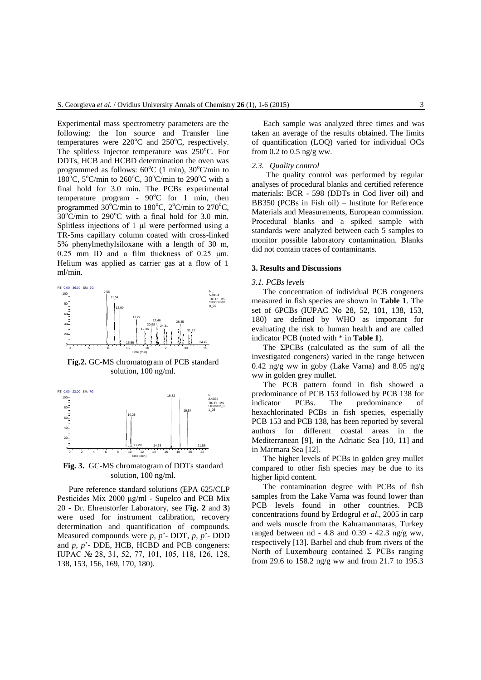Experimental mass spectrometry parameters are the following: the Ion source and Transfer line temperatures were  $220^{\circ}$ C and  $250^{\circ}$ C, respectively. The splitless Injector temperature was  $250^{\circ}$ C. For DDTs, HCB and HCBD determination the oven was programmed as follows:  $60^{\circ}$ C (1 min),  $30^{\circ}$ C/min to 180<sup>o</sup>C, 5<sup>o</sup>C/min to 260<sup>o</sup>C, 30<sup>o</sup>C/min to 290<sup>o</sup>C with a final hold for 3.0 min. The PCBs experimental temperature program -  $90^{\circ}$ C for 1 min, then programmed  $30^{\circ}$ C/min to  $180^{\circ}$ C,  $2^{\circ}$ C/min to  $270^{\circ}$ C,  $30^{\circ}$ C/min to 290 $^{\circ}$ C with a final hold for 3.0 min. Splitless injections of 1 μl were performed using a TR-5ms capillary column coated with cross-linked 5% phenylmethylsiloxane with a length of 30 m, 0.25 mm ID and a film thickness of 0.25 μm. Helium was applied as carrier gas at a flow of 1 ml/min.



**Fig.2.** GC-MS chromatogram of PCB standard solution, 100 ng/ml.



**Fig. 3.** GC-MS chromatogram of DDTs standard solution, 100 ng/ml.

Pure reference standard solutions (EPA 625/CLP Pesticides Mix 2000 μg/ml - Supelco and PCB Mix 20 - Dr. Ehrenstorfer Laboratory, see **Fig. 2** and **3**) were used for instrument calibration, recovery determination and quantification of compounds. Measured compounds were *p*, *p*'- DDT, *p*, *p*'- DDD and *p*, *p*'- DDE, HCB, HCBD and PCB congeners: IUPAC № 28, 31, 52, 77, 101, 105, 118, 126, 128, 138, 153, 156, 169, 170, 180).

Each sample was analyzed three times and was taken an average of the results obtained. The limits of quantification (LOQ) varied for individual OCs from  $0.2$  to  $0.5$  ng/g ww.

#### *2.3. Quality control*

The quality control was performed by regular analyses of procedural blanks and certified reference materials: BCR - 598 (DDTs in Cod liver oil) and BB350 (PCBs in Fish oil) – Institute for Reference Materials and Measurements, European commission. Procedural blanks and a spiked sample with standards were analyzed between each 5 samples to monitor possible laboratory contamination. Blanks did not contain traces of contaminants.

## **3. Results and Discussions**

#### *3.1. PCBs levels*

The concentration of individual PCB congeners measured in fish species are shown in **Table 1**. The set of 6PCBs (IUPAC No 28, 52, 101, 138, 153, 180) are defined by WHO as important for evaluating the risk to human health and are called indicator PCB (noted with \* in **Table 1**).

The ΣPCBs (calculated as the sum of all the investigated congeners) varied in the range between 0.42 ng/g ww in goby (Lake Varna) and 8.05 ng/g ww in golden grey mullet.

The PCB pattern found in fish showed a predominance of PCB 153 followed by PCB 138 for indicator PCBs. The predominance of hexachlorinated PCBs in fish species, especially PCB 153 and PCB 138, has been reported by several authors for different coastal areas in the Mediterranean [9], in the Adriatic Sea [10, 11] and in Marmara Sea [12].

The higher levels of PCBs in golden grey mullet compared to other fish species may be due to its higher lipid content.

The contamination degree with PCBs of fish samples from the Lake Varna was found lower than PCB levels found in other countries. PCB concentrations found by Erdogrul *et al*., 2005 in carp and wels muscle from the Kahramanmaras, Turkey ranged between  $nd - 4.8$  and  $0.39 - 42.3$  ng/g ww, respectively [13]. Barbel and chub from rivers of the North of Luxembourg contained  $\Sigma$  PCBs ranging from 29.6 to 158.2 ng/g ww and from 21.7 to 195.3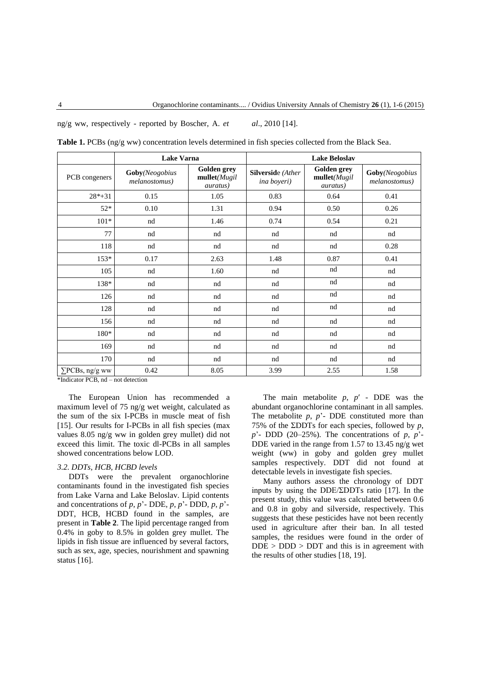ng/g ww, respectively - reported by Boscher, A. *et al*., 2010 [14].

|                        | <b>Lake Varna</b>               |                                                 | <b>Lake Beloslav</b>                            |                                                        |                                 |
|------------------------|---------------------------------|-------------------------------------------------|-------------------------------------------------|--------------------------------------------------------|---------------------------------|
| PCB congeners          | Goby(Neogobius<br>melanostomus) | Golden grey<br>mullet(Mugil<br><i>auratus</i> ) | <b>Silverside</b> (Ather<br><i>ina boyeri</i> ) | <b>Golden</b> grey<br>mullet(Mugil<br><i>auratus</i> ) | Goby(Neogobius<br>melanostomus) |
| $28*+31$               | 0.15                            | 1.05                                            | 0.83                                            | 0.64                                                   | 0.41                            |
| $52*$                  | 0.10                            | 1.31                                            | 0.94                                            | 0.50                                                   | 0.26                            |
| $101*$                 | nd                              | 1.46                                            | 0.74                                            | 0.54                                                   | 0.21                            |
| 77                     | nd                              | nd                                              | nd                                              | nd                                                     | nd                              |
| 118                    | nd                              | nd                                              | nd                                              | nd                                                     | 0.28                            |
| $153*$                 | 0.17                            | 2.63                                            | 1.48                                            | 0.87                                                   | 0.41                            |
| 105                    | nd                              | 1.60                                            | nd                                              | nd                                                     | nd                              |
| 138*                   | nd                              | nd                                              | nd                                              | nd                                                     | nd                              |
| 126                    | nd                              | nd                                              | nd                                              | nd                                                     | nd                              |
| 128                    | nd                              | nd                                              | nd                                              | nd                                                     | nd                              |
| 156                    | nd                              | nd                                              | nd                                              | nd                                                     | nd                              |
| 180*                   | nd                              | nd                                              | nd                                              | nd                                                     | nd                              |
| 169                    | nd                              | nd                                              | nd                                              | nd                                                     | nd                              |
| 170                    | nd                              | nd                                              | nd                                              | nd                                                     | nd                              |
| $\Sigma$ PCBs, ng/g ww | 0.42                            | 8.05                                            | 3.99                                            | 2.55                                                   | 1.58                            |

**Table 1.** PCBs (ng/g ww) concentration levels determined in fish species collected from the Black Sea.

\*Indicator PCB, nd – not detection

The European Union has recommended a maximum level of 75 ng/g wet weight, calculated as the sum of the six I-PCBs in muscle meat of fish [15]. Our results for I-PCBs in all fish species (max values 8.05 ng/g ww in golden grey mullet) did not exceed this limit. The toxic dl-PCBs in all samples showed concentrations below LOD.

# *3.2. DDTs, HCB, HCBD levels*

DDTs were the prevalent organochlorine contaminants found in the investigated fish species from Lake Varna and Lake Beloslav. Lipid contents and concentrations of *p*, *p*'- DDE, *p*, *p*'- DDD, *p*, *p*'- DDT, HCB, HCBD found in the samples, are present in **Table 2**. The lipid percentage ranged from 0.4% in goby to 8.5% in golden grey mullet. The lipids in fish tissue are influenced by several factors, such as sex, age, species, nourishment and spawning status [16].

The main metabolite *p*, *p*′ - DDE was the abundant organochlorine contaminant in all samples. The metabolite  $p$ ,  $p'$ - DDE constituted more than 75% of the ΣDDTs for each species, followed by *p*, *p*'- DDD (20–25%). The concentrations of *p*, *p*'- DDE varied in the range from 1.57 to 13.45 ng/g wet weight (ww) in goby and golden grey mullet samples respectively. DDT did not found at detectable levels in investigate fish species.

Many authors assess the chronology of DDT inputs by using the DDE/ΣDDTs ratio [17]. In the present study, this value was calculated between 0.6 and 0.8 in goby and silverside, respectively. This suggests that these pesticides have not been recently used in agriculture after their ban. In all tested samples, the residues were found in the order of  $DDE > DDD > DDT$  and this is in agreement with the results of other studies [18, 19].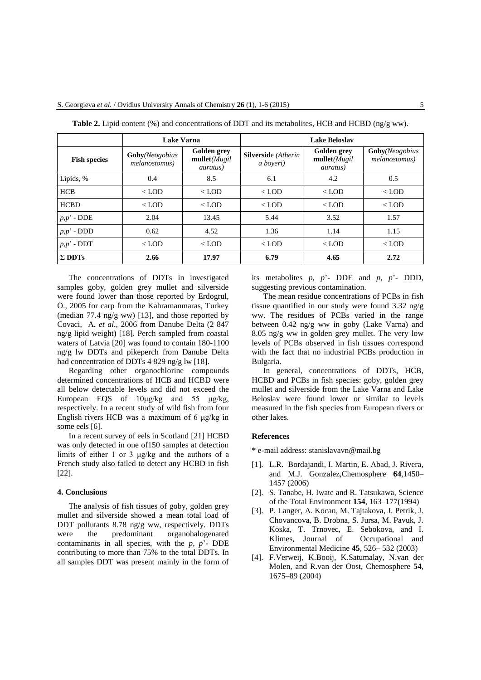|                     | <b>Lake Varna</b>                       |                                                  | <b>Lake Beloslav</b>                    |                                                        |                                         |
|---------------------|-----------------------------------------|--------------------------------------------------|-----------------------------------------|--------------------------------------------------------|-----------------------------------------|
| <b>Fish species</b> | <b>Goby</b> (Neogobius<br>melanostomus) | Golden grey<br>mullet(Mugil)<br><i>auratus</i> ) | <b>Silverside</b> (Atherin<br>a boyeri) | <b>Golden</b> grey<br>mullet(Mugil<br><i>auratus</i> ) | <b>Goby</b> (Neogobius<br>melanostomus) |
| Lipids, %           | 0.4                                     | 8.5                                              | 6.1                                     | 4.2                                                    | 0.5                                     |
| <b>HCB</b>          | $<$ LOD                                 | $<$ LOD                                          | $<$ LOD                                 | $<$ LOD                                                | $<$ LOD                                 |
| <b>HCBD</b>         | $<$ LOD                                 | $<$ LOD                                          | $<$ LOD                                 | $<$ LOD                                                | $<$ LOD                                 |
| $p,p'$ - DDE        | 2.04                                    | 13.45                                            | 5.44                                    | 3.52                                                   | 1.57                                    |
| $p,p'$ - DDD        | 0.62                                    | 4.52                                             | 1.36                                    | 1.14                                                   | 1.15                                    |
| $p,p'$ - DDT        | $<$ LOD                                 | $<$ LOD                                          | $<$ LOD                                 | $<$ LOD                                                | $<$ LOD                                 |
| $\Sigma$ DDTs       | 2.66                                    | 17.97                                            | 6.79                                    | 4.65                                                   | 2.72                                    |

**Table 2.** Lipid content (%) and concentrations of DDT and its metabolites, HCB and HCBD (ng/g ww).

The concentrations of DDTs in investigated samples goby, golden grey mullet and silverside were found lower than those reported by Erdogrul, Ö., 2005 for carp from the Kahramanmaras, Turkey (median 77.4 ng/g ww) [13], and those reported by Covaci, A. *et al*., 2006 from Danube Delta (2 847 ng/g lipid weight) [18]. Perch sampled from coastal waters of Latvia [20] was found to contain 180-1100 ng/g lw DDTs and pikeperch from Danube Delta had concentration of DDTs 4 829 ng/g lw [18].

Regarding other organochlorine compounds determined concentrations of HCB and HCBD were all below detectable levels and did not exceed the European EQS of 10μg/kg and 55 μg/kg, respectively. In a recent study of wild fish from four English rivers HCB was a maximum of 6 μg/kg in some eels [6].

In a recent survey of eels in Scotland [21] HCBD was only detected in one of150 samples at detection limits of either 1 or 3 μg/kg and the authors of a French study also failed to detect any HCBD in fish [22].

### **4. Conclusions**

The analysis of fish tissues of goby, golden grey mullet and silverside showed a mean total load of DDT pollutants 8.78 ng/g ww, respectively. DDTs were the predominant organohalogenated contaminants in all species, with the *p*, *p*'- DDE contributing to more than 75% to the total DDTs. In all samples DDT was present mainly in the form of its metabolites *p*, *p*'- DDE and *p*, *p*'- DDD, suggesting previous contamination.

The mean residue concentrations of PCBs in fish tissue quantified in our study were found 3.32 ng/g ww. The residues of PCBs varied in the range between 0.42 ng/g ww in goby (Lake Varna) and 8.05 ng/g ww in golden grey mullet. The very low levels of PCBs observed in fish tissues correspond with the fact that no industrial PCBs production in Bulgaria.

In general, concentrations of DDTs, HCB, HCBD and PCBs in fish species: goby, golden grey mullet and silverside from the Lake Varna and Lake Beloslav were found lower or similar to levels measured in the fish species from European rivers or other lakes.

#### **References**

\* e-mail address: stanislavavn@mail.bg

- [1]. L.R. Bordajandi, I. Martin, E. Abad, J. Rivera, and M.J. Gonzalez,Chemosphere **64**,1450– 1457 (2006)
- [2]. S. Tanabe, H. Iwate and R. Tatsukawa, Science of the Total Environment **154**, 163–177(1994)
- [3]. P. Langer, A. Kocan, M. Tajtakova, J. Petrik, J. Chovancova, B. Drobna, S. Jursa, M. Pavuk, J. Koska, T. Trnovec, E. Sebokova, and I. Klimes, Journal of Occupational and Environmental Medicine **45**, 526– 532 (2003)
- [4]. F.Verweij, K.Booij, K.Satumalay, N.van der Molen, and R.van der Oost, Chemosphere **54**, 1675–89 (2004)